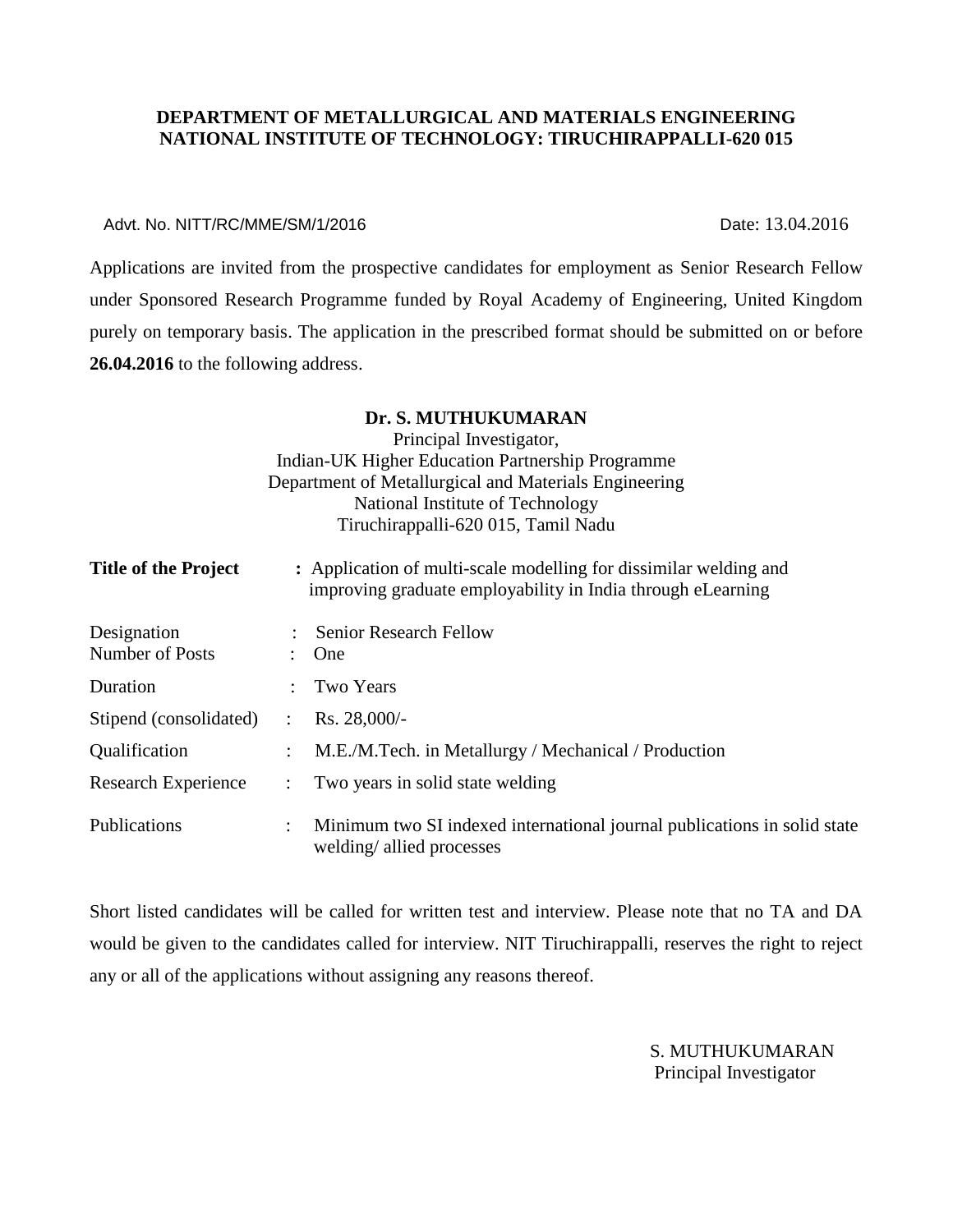#### **DEPARTMENT OF METALLURGICAL AND MATERIALS ENGINEERING NATIONAL INSTITUTE OF TECHNOLOGY: TIRUCHIRAPPALLI-620 015**

#### Advt. No. NITT/RC/MME/SM/1/2016 2008 2009 2009 2009 2010 2010 2014 2016

Applications are invited from the prospective candidates for employment as Senior Research Fellow under Sponsored Research Programme funded by Royal Academy of Engineering, United Kingdom purely on temporary basis. The application in the prescribed format should be submitted on or before **26.04.2016** to the following address.

|                                |                      | Dr. S. MUTHUKUMARAN                                                                                                              |
|--------------------------------|----------------------|----------------------------------------------------------------------------------------------------------------------------------|
|                                |                      | Principal Investigator,                                                                                                          |
|                                |                      | Indian-UK Higher Education Partnership Programme                                                                                 |
|                                |                      | Department of Metallurgical and Materials Engineering                                                                            |
|                                |                      | National Institute of Technology                                                                                                 |
|                                |                      | Tiruchirappalli-620 015, Tamil Nadu                                                                                              |
| <b>Title of the Project</b>    |                      | : Application of multi-scale modelling for dissimilar welding and<br>improving graduate employability in India through eLearning |
| Designation<br>Number of Posts |                      | <b>Senior Research Fellow</b><br>One                                                                                             |
| Duration                       |                      | Two Years                                                                                                                        |
| Stipend (consolidated)         | $\ddot{\phantom{a}}$ | Rs. 28,000/-                                                                                                                     |
| Qualification                  |                      | M.E./M.Tech. in Metallurgy / Mechanical / Production                                                                             |
| Research Experience            | $\ddot{\phantom{a}}$ | Two years in solid state welding                                                                                                 |
| Publications                   | $\ddot{\phantom{a}}$ | Minimum two SI indexed international journal publications in solid state<br>welding/allied processes                             |

Short listed candidates will be called for written test and interview. Please note that no TA and DA would be given to the candidates called for interview. NIT Tiruchirappalli, reserves the right to reject any or all of the applications without assigning any reasons thereof.

> S. MUTHUKUMARAN Principal Investigator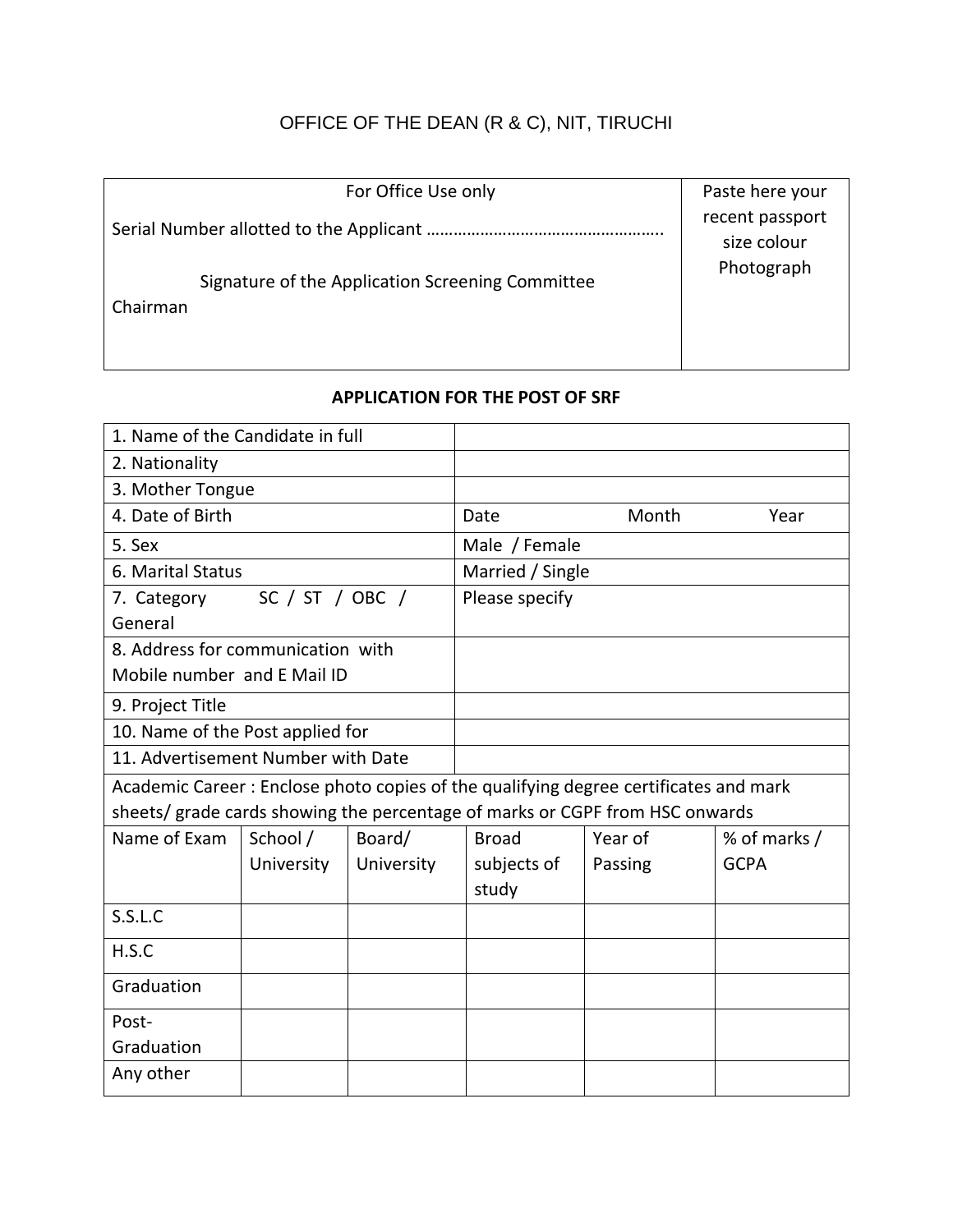# OFFICE OF THE DEAN (R & C), NIT, TIRUCHI

| For Office Use only                                          | Paste here your                              |
|--------------------------------------------------------------|----------------------------------------------|
| Signature of the Application Screening Committee<br>Chairman | recent passport<br>size colour<br>Photograph |

## **APPLICATION FOR THE POST OF SRF**

| 1. Name of the Candidate in full                                                     |            |            |                  |         |              |  |
|--------------------------------------------------------------------------------------|------------|------------|------------------|---------|--------------|--|
| 2. Nationality                                                                       |            |            |                  |         |              |  |
| 3. Mother Tongue                                                                     |            |            |                  |         |              |  |
| 4. Date of Birth                                                                     |            |            | Date             | Month   | Year         |  |
| 5. Sex                                                                               |            |            | Male / Female    |         |              |  |
| 6. Marital Status                                                                    |            |            | Married / Single |         |              |  |
| SC / ST / OBC /<br>7. Category                                                       |            |            | Please specify   |         |              |  |
| General                                                                              |            |            |                  |         |              |  |
| 8. Address for communication with                                                    |            |            |                  |         |              |  |
| Mobile number and E Mail ID                                                          |            |            |                  |         |              |  |
| 9. Project Title                                                                     |            |            |                  |         |              |  |
| 10. Name of the Post applied for                                                     |            |            |                  |         |              |  |
| 11. Advertisement Number with Date                                                   |            |            |                  |         |              |  |
| Academic Career: Enclose photo copies of the qualifying degree certificates and mark |            |            |                  |         |              |  |
| sheets/ grade cards showing the percentage of marks or CGPF from HSC onwards         |            |            |                  |         |              |  |
| Name of Exam                                                                         | School /   | Board/     | <b>Broad</b>     | Year of | % of marks / |  |
|                                                                                      | University | University | subjects of      | Passing | <b>GCPA</b>  |  |
|                                                                                      |            |            | study            |         |              |  |
| S.S.L.C                                                                              |            |            |                  |         |              |  |
| H.S.C                                                                                |            |            |                  |         |              |  |
| Graduation                                                                           |            |            |                  |         |              |  |
| Post-                                                                                |            |            |                  |         |              |  |
| Graduation                                                                           |            |            |                  |         |              |  |
| Any other                                                                            |            |            |                  |         |              |  |